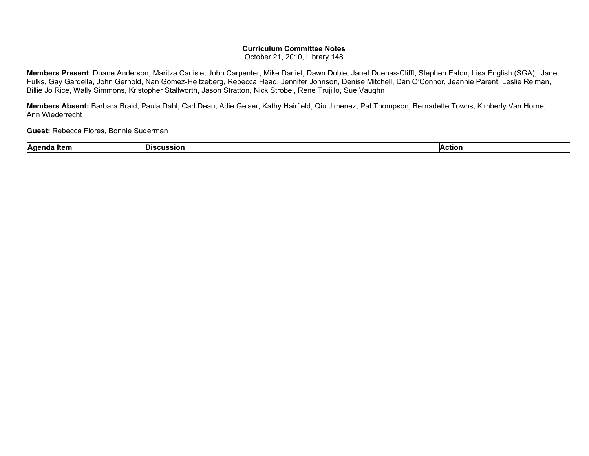## **Curriculum Committee Notes**

October 21, 2010, Library 148

**Members Present**: Duane Anderson, Maritza Carlisle, John Carpenter, Mike Daniel, Dawn Dobie, Janet Duenas-Clifft, Stephen Eaton, Lisa English (SGA), Janet Fulks, Gay Gardella, John Gerhold, Nan Gomez-Heitzeberg, Rebecca Head, Jennifer Johnson, Denise Mitchell, Dan O'Connor, Jeannie Parent, Leslie Reiman, Billie Jo Rice, Wally Simmons, Kristopher Stallworth, Jason Stratton, Nick Strobel, Rene Trujillo, Sue Vaughn

**Members Absent:** Barbara Braid, Paula Dahl, Carl Dean, Adie Geiser, Kathy Hairfield, Qiu Jimenez, Pat Thompson, Bernadette Towns, Kimberly Van Horne, Ann Wiederrecht

**Guest:** Rebecca Flores, Bonnie Suderman

|  | <b>A</b> aer<br>ITAM<br>. . | ш<br>.SRD | etiol |
|--|-----------------------------|-----------|-------|
|--|-----------------------------|-----------|-------|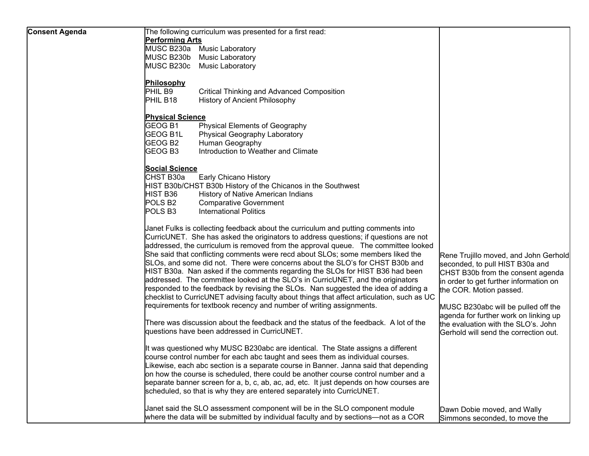| <b>Consent Agenda</b> | The following curriculum was presented for a first read:                                   |                                              |
|-----------------------|--------------------------------------------------------------------------------------------|----------------------------------------------|
|                       | <b>Performing Arts</b>                                                                     |                                              |
|                       | MUSC B230a Music Laboratory                                                                |                                              |
|                       | MUSC B230b Music Laboratory                                                                |                                              |
|                       | MUSC B230c Music Laboratory                                                                |                                              |
|                       |                                                                                            |                                              |
|                       | Philosophy                                                                                 |                                              |
|                       | PHIL B9<br><b>Critical Thinking and Advanced Composition</b>                               |                                              |
|                       | PHIL B <sub>18</sub>                                                                       |                                              |
|                       | <b>History of Ancient Philosophy</b>                                                       |                                              |
|                       | <b>Physical Science</b>                                                                    |                                              |
|                       | GEOG B1<br>Physical Elements of Geography                                                  |                                              |
|                       | <b>GEOG B1L</b><br>Physical Geography Laboratory                                           |                                              |
|                       | GEOG B <sub>2</sub><br>Human Geography                                                     |                                              |
|                       |                                                                                            |                                              |
|                       | GEOG B3<br>Introduction to Weather and Climate                                             |                                              |
|                       | <b>Social Science</b>                                                                      |                                              |
|                       | CHST B30a<br><b>Early Chicano History</b>                                                  |                                              |
|                       | HIST B30b/CHST B30b History of the Chicanos in the Southwest                               |                                              |
|                       | HIST B36                                                                                   |                                              |
|                       | History of Native American Indians                                                         |                                              |
|                       | POLS B <sub>2</sub><br><b>Comparative Government</b>                                       |                                              |
|                       | POLS <sub>B3</sub><br><b>International Politics</b>                                        |                                              |
|                       | Janet Fulks is collecting feedback about the curriculum and putting comments into          |                                              |
|                       | CurricUNET. She has asked the originators to address questions; if questions are not       |                                              |
|                       | addressed, the curriculum is removed from the approval queue. The committee looked         |                                              |
|                       |                                                                                            |                                              |
|                       | She said that conflicting comments were recd about SLOs; some members liked the            | Rene Trujillo moved, and John Gerhold        |
|                       | SLOs, and some did not. There were concerns about the SLO's for CHST B30b and              | seconded, to pull HIST B30a and              |
|                       | HIST B30a. Nan asked if the comments regarding the SLOs for HIST B36 had been              | CHST B30b from the consent agenda            |
|                       | addressed. The committee looked at the SLO's in CurricUNET, and the originators            | in order to get further information on       |
|                       | responded to the feedback by revising the SLOs. Nan suggested the idea of adding a         | the COR. Motion passed.                      |
|                       | checklist to CurricUNET advising faculty about things that affect articulation, such as UC |                                              |
|                       | requirements for textbook recency and number of writing assignments.                       | MUSC B230abc will be pulled off the          |
|                       |                                                                                            |                                              |
|                       | There was discussion about the feedback and the status of the feedback. A lot of the       | agenda for further work on linking up        |
|                       |                                                                                            | the evaluation with the SLO's. John          |
|                       | questions have been addressed in CurricUNET.                                               | <b>Gerhold will send the correction out.</b> |
|                       | It was questioned why MUSC B230abc are identical. The State assigns a different            |                                              |
|                       | course control number for each abc taught and sees them as individual courses.             |                                              |
|                       | Likewise, each abc section is a separate course in Banner. Janna said that depending       |                                              |
|                       | on how the course is scheduled, there could be another course control number and a         |                                              |
|                       |                                                                                            |                                              |
|                       | separate banner screen for a, b, c, ab, ac, ad, etc. It just depends on how courses are    |                                              |
|                       | scheduled, so that is why they are entered separately into CurricUNET.                     |                                              |
|                       | Janet said the SLO assessment component will be in the SLO component module                | Dawn Dobie moved, and Wally                  |
|                       | where the data will be submitted by individual faculty and by sections—not as a COR        |                                              |
|                       |                                                                                            | Simmons seconded, to move the                |